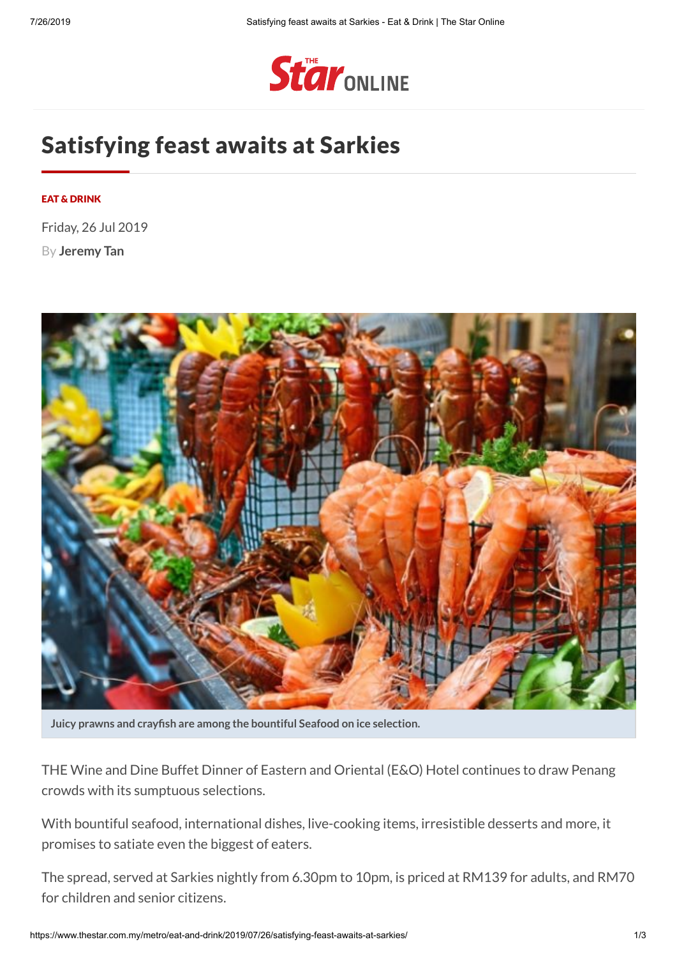

# Satisfying feast awaits at Sarkies

### EAT & [DRINK](https://www.thestar.com.my/metro/eat-and-drink)

Friday, 26 Jul 2019

By **[Jeremy](https://www.thestar.com.my/authors?q=%22Jeremy+Tan%22) Tan**



**Juicy prawns and craysh are among the bountiful Seafood on ice selection.**

THE Wine and Dine Buffet Dinner of Eastern and Oriental (E&O) Hotel continues to draw Penang crowds with its sumptuous selections.

With bountiful seafood, international dishes, live-cooking items, irresistible desserts and more, it promises to satiate even the biggest of eaters.

The spread, served at Sarkies nightly from 6.30pm to 10pm, is priced at RM139 for adults, and RM70 for children and senior citizens.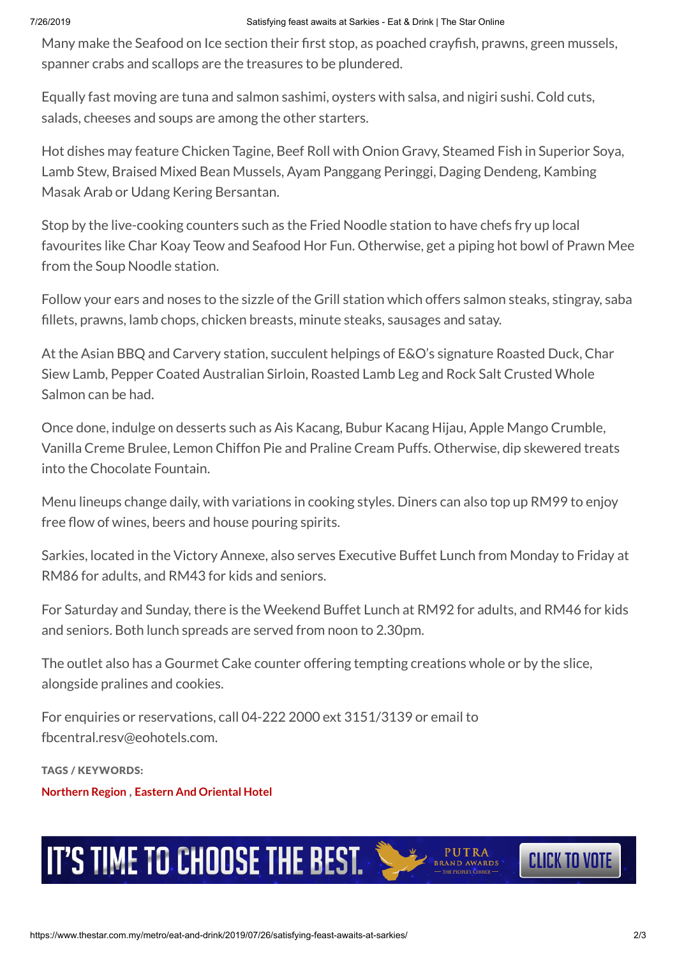### 7/26/2019 Satisfying feast awaits at Sarkies - Eat & Drink | The Star Online

Many make the Seafood on Ice section their first stop, as poached crayfish, prawns, green mussels, spanner crabs and scallops are the treasures to be plundered.

Equally fast moving are tuna and salmon sashimi, oysters with salsa, and nigiri sushi. Cold cuts, salads, cheeses and soups are among the other starters.

Hot dishes may feature Chicken Tagine, Beef Roll with Onion Gravy, Steamed Fish in Superior Soya, Lamb Stew, Braised Mixed Bean Mussels, Ayam Panggang Peringgi, Daging Dendeng, Kambing Masak Arab or Udang Kering Bersantan.

Stop by the live-cooking counters such as the Fried Noodle station to have chefs fry up local favourites like Char Koay Teow and Seafood Hor Fun. Otherwise, get a piping hot bowl of Prawn Mee from the Soup Noodle station.

Follow your ears and noses to the sizzle of the Grill station which offers salmon steaks, stingray, saba fillets, prawns, lamb chops, chicken breasts, minute steaks, sausages and satay.

At the Asian BBQ and Carvery station, succulent helpings of E&O's signature Roasted Duck, Char Siew Lamb, Pepper Coated Australian Sirloin, Roasted Lamb Leg and Rock Salt Crusted Whole Salmon can be had.

Once done, indulge on desserts such as Ais Kacang, Bubur Kacang Hijau, Apple Mango Crumble, Vanilla Creme Brulee, Lemon Chiffon Pie and Praline Cream Puffs. Otherwise, dip skewered treats into the Chocolate Fountain.

Menu lineups change daily, with variations in cooking styles. Diners can also top up RM99 to enjoy free flow of wines, beers and house pouring spirits.

Sarkies, located in the Victory Annexe, also serves Executive Buffet Lunch from Monday to Friday at RM86 for adults, and RM43 for kids and seniors.

For Saturday and Sunday, there is the Weekend Buffet Lunch at RM92 for adults, and RM46 for kids and seniors. Both lunch spreads are served from noon to 2.30pm.

The outlet also has a Gourmet Cake counter offering tempting creations whole or by the slice, alongside pralines and cookies.

For enquiries or reservations, call 04-222 2000 ext 3151/3139 or email to fbcentral.resv@eohotels.com.

TAGS / KEYWORDS:

**[Northern](https://www.thestar.com.my/Search?q=%22Northern+Region%22&qkey=%7bBC6844B1-38CB-40A4-9F4C-FCE0A9BDB4A8%7d) Region** , **Eastern And [Oriental](https://www.thestar.com.my/Search?q=%22Eastern+and+Oriental+Hotel%22&qkey=Eastern+and+Oriental+Hotel) Hotel**



IT'S TIME TO CHOOSE THE BEST.

**CLICK TO VOTE**